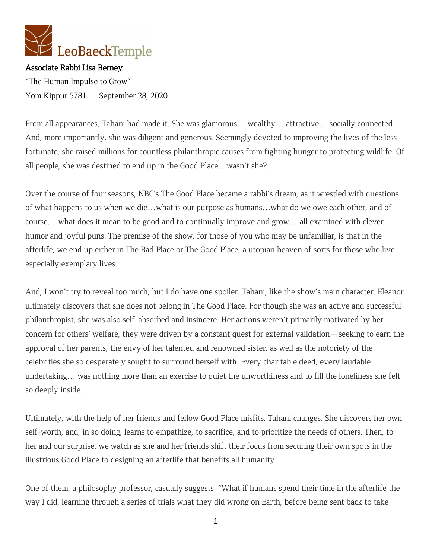

Associate Rabbi Lisa Berney "The Human Impulse to Grow" Yom Kippur 5781 September 28, 2020

From all appearances, Tahani had made it. She was glamorous… wealthy… attractive… socially connected. And, more importantly, she was diligent and generous. Seemingly devoted to improving the lives of the less fortunate, she raised millions for countless philanthropic causes from fighting hunger to protecting wildlife. Of all people, she was destined to end up in the Good Place…wasn't she?

Over the course of four seasons, NBC's The Good Place became a rabbi's dream, as it wrestled with questions of what happens to us when we die…what is our purpose as humans…what do we owe each other, and of course,…what does it mean to be good and to continually improve and grow… all examined with clever humor and joyful puns. The premise of the show, for those of you who may be unfamiliar, is that in the afterlife, we end up either in The Bad Place or The Good Place, a utopian heaven of sorts for those who live especially exemplary lives.

And, I won't try to reveal too much, but I do have one spoiler. Tahani, like the show's main character, Eleanor, ultimately discovers that she does not belong in The Good Place. For though she was an active and successful philanthropist, she was also self-absorbed and insincere. Her actions weren't primarily motivated by her concern for others' welfare, they were driven by a constant quest for external validation—seeking to earn the approval of her parents, the envy of her talented and renowned sister, as well as the notoriety of the celebrities she so desperately sought to surround herself with. Every charitable deed, every laudable undertaking… was nothing more than an exercise to quiet the unworthiness and to fill the loneliness she felt so deeply inside.

Ultimately, with the help of her friends and fellow Good Place misfits, Tahani changes. She discovers her own self-worth, and, in so doing, learns to empathize, to sacrifice, and to prioritize the needs of others. Then, to her and our surprise, we watch as she and her friends shift their focus from securing their own spots in the illustrious Good Place to designing an afterlife that benefits all humanity.

One of them, a philosophy professor, casually suggests: "What if humans spend their time in the afterlife the way I did, learning through a series of trials what they did wrong on Earth, before being sent back to take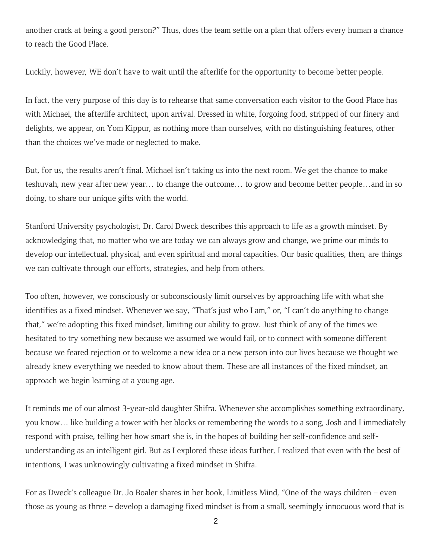another crack at being a good person?" Thus, does the team settle on a plan that offers every human a chance to reach the Good Place.

Luckily, however, WE don't have to wait until the afterlife for the opportunity to become better people.

In fact, the very purpose of this day is to rehearse that same conversation each visitor to the Good Place has with Michael, the afterlife architect, upon arrival. Dressed in white, forgoing food, stripped of our finery and delights, we appear, on Yom Kippur, as nothing more than ourselves, with no distinguishing features, other than the choices we've made or neglected to make.

But, for us, the results aren't final. Michael isn't taking us into the next room. We get the chance to make teshuvah, new year after new year… to change the outcome… to grow and become better people…and in so doing, to share our unique gifts with the world.

Stanford University psychologist, Dr. Carol Dweck describes this approach to life as a growth mindset. By acknowledging that, no matter who we are today we can always grow and change, we prime our minds to develop our intellectual, physical, and even spiritual and moral capacities. Our basic qualities, then, are things we can cultivate through our efforts, strategies, and help from others.

Too often, however, we consciously or subconsciously limit ourselves by approaching life with what she identifies as a fixed mindset. Whenever we say, "That's just who I am," or, "I can't do anything to change that," we're adopting this fixed mindset, limiting our ability to grow. Just think of any of the times we hesitated to try something new because we assumed we would fail, or to connect with someone different because we feared rejection or to welcome a new idea or a new person into our lives because we thought we already knew everything we needed to know about them. These are all instances of the fixed mindset, an approach we begin learning at a young age.

It reminds me of our almost 3-year-old daughter Shifra. Whenever she accomplishes something extraordinary, you know… like building a tower with her blocks or remembering the words to a song, Josh and I immediately respond with praise, telling her how smart she is, in the hopes of building her self-confidence and selfunderstanding as an intelligent girl. But as I explored these ideas further, I realized that even with the best of intentions, I was unknowingly cultivating a fixed mindset in Shifra.

For as Dweck's colleague Dr. Jo Boaler shares in her book, Limitless Mind, "One of the ways children – even those as young as three – develop a damaging fixed mindset is from a small, seemingly innocuous word that is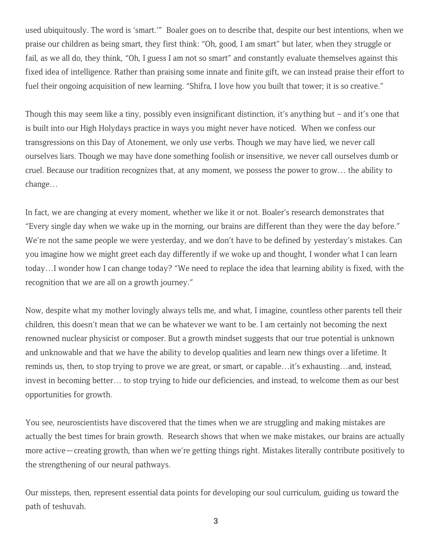used ubiquitously. The word is 'smart.'" Boaler goes on to describe that, despite our best intentions, when we praise our children as being smart, they first think: "Oh, good, I am smart" but later, when they struggle or fail, as we all do, they think, "Oh, I guess I am not so smart" and constantly evaluate themselves against this fixed idea of intelligence. Rather than praising some innate and finite gift, we can instead praise their effort to fuel their ongoing acquisition of new learning. "Shifra, I love how you built that tower; it is so creative."

Though this may seem like a tiny, possibly even insignificant distinction, it's anything but – and it's one that is built into our High Holydays practice in ways you might never have noticed. When we confess our transgressions on this Day of Atonement, we only use verbs. Though we may have lied, we never call ourselves liars. Though we may have done something foolish or insensitive, we never call ourselves dumb or cruel. Because our tradition recognizes that, at any moment, we possess the power to grow… the ability to change…

In fact, we are changing at every moment, whether we like it or not. Boaler's research demonstrates that "Every single day when we wake up in the morning, our brains are different than they were the day before." We're not the same people we were yesterday, and we don't have to be defined by yesterday's mistakes. Can you imagine how we might greet each day differently if we woke up and thought, I wonder what I can learn today…I wonder how I can change today? "We need to replace the idea that learning ability is fixed, with the recognition that we are all on a growth journey."

Now, despite what my mother lovingly always tells me, and what, I imagine, countless other parents tell their children, this doesn't mean that we can be whatever we want to be. I am certainly not becoming the next renowned nuclear physicist or composer. But a growth mindset suggests that our true potential is unknown and unknowable and that we have the ability to develop qualities and learn new things over a lifetime. It reminds us, then, to stop trying to prove we are great, or smart, or capable…it's exhausting…and, instead, invest in becoming better… to stop trying to hide our deficiencies, and instead, to welcome them as our best opportunities for growth.

You see, neuroscientists have discovered that the times when we are struggling and making mistakes are actually the best times for brain growth. Research shows that when we make mistakes, our brains are actually more active—creating growth, than when we're getting things right. Mistakes literally contribute positively to the strengthening of our neural pathways.

Our missteps, then, represent essential data points for developing our soul curriculum, guiding us toward the path of teshuvah.

3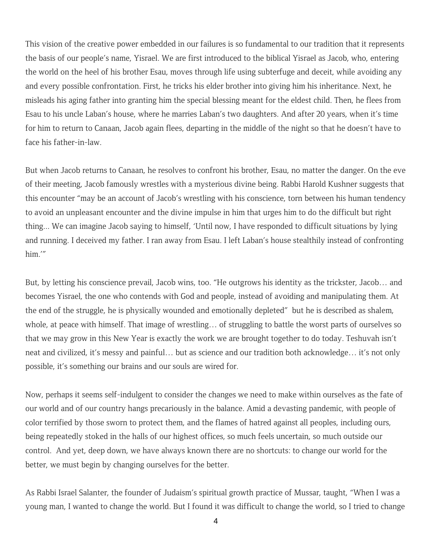This vision of the creative power embedded in our failures is so fundamental to our tradition that it represents the basis of our people's name, Yisrael. We are first introduced to the biblical Yisrael as Jacob, who, entering the world on the heel of his brother Esau, moves through life using subterfuge and deceit, while avoiding any and every possible confrontation. First, he tricks his elder brother into giving him his inheritance. Next, he misleads his aging father into granting him the special blessing meant for the eldest child. Then, he flees from Esau to his uncle Laban's house, where he marries Laban's two daughters. And after 20 years, when it's time for him to return to Canaan, Jacob again flees, departing in the middle of the night so that he doesn't have to face his father-in-law.

But when Jacob returns to Canaan, he resolves to confront his brother, Esau, no matter the danger. On the eve of their meeting, Jacob famously wrestles with a mysterious divine being. Rabbi Harold Kushner suggests that this encounter "may be an account of Jacob's wrestling with his conscience, torn between his human tendency to avoid an unpleasant encounter and the divine impulse in him that urges him to do the difficult but right thing... We can imagine Jacob saying to himself, 'Until now, I have responded to difficult situations by lying and running. I deceived my father. I ran away from Esau. I left Laban's house stealthily instead of confronting him.'"

But, by letting his conscience prevail, Jacob wins, too. "He outgrows his identity as the trickster, Jacob… and becomes Yisrael, the one who contends with God and people, instead of avoiding and manipulating them. At the end of the struggle, he is physically wounded and emotionally depleted" but he is described as shalem, whole, at peace with himself. That image of wrestling… of struggling to battle the worst parts of ourselves so that we may grow in this New Year is exactly the work we are brought together to do today. Teshuvah isn't neat and civilized, it's messy and painful… but as science and our tradition both acknowledge… it's not only possible, it's something our brains and our souls are wired for.

Now, perhaps it seems self-indulgent to consider the changes we need to make within ourselves as the fate of our world and of our country hangs precariously in the balance. Amid a devasting pandemic, with people of color terrified by those sworn to protect them, and the flames of hatred against all peoples, including ours, being repeatedly stoked in the halls of our highest offices, so much feels uncertain, so much outside our control. And yet, deep down, we have always known there are no shortcuts: to change our world for the better, we must begin by changing ourselves for the better.

As Rabbi Israel Salanter, the founder of Judaism's spiritual growth practice of Mussar, taught, "When I was a young man, I wanted to change the world. But I found it was difficult to change the world, so I tried to change